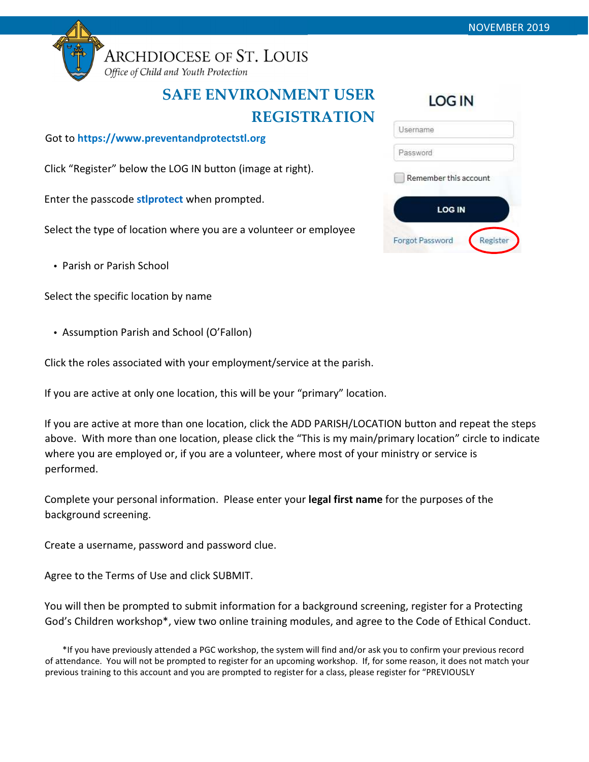

**ARCHDIOCESE OF ST. LOUIS** 

Office of Child and Youth Protection

## SAFE ENVIRONMENT USER REGISTRATION

Got to https://www.preventandprotectstl.org

Click "Register" below the LOG IN button (image at right).

Enter the passcode stiprotect when prompted.

Select the type of location where you are a volunteer or employee

• Parish or Parish School

Select the specific location by name

• Assumption Parish and School (O'Fallon)

Click the roles associated with your employment/service at the parish.

If you are active at only one location, this will be your "primary" location.

If you are active at more than one location, click the ADD PARISH/LOCATION button and repeat the steps above. With more than one location, please click the "This is my main/primary location" circle to indicate where you are employed or, if you are a volunteer, where most of your ministry or service is performed.

Complete your personal information. Please enter your legal first name for the purposes of the background screening.

Create a username, password and password clue.

Agree to the Terms of Use and click SUBMIT.

You will then be prompted to submit information for a background screening, register for a Protecting God's Children workshop\*, view two online training modules, and agree to the Code of Ethical Conduct.

\*If you have previously attended a PGC workshop, the system will find and/or ask you to confirm your previous record of attendance. You will not be prompted to register for an upcoming workshop. If, for some reason, it does not match your previous training to this account and you are prompted to register for a class, please register for "PREVIOUSLY

| יייט                   |          |
|------------------------|----------|
| Username               |          |
| Password               |          |
| Remember this account  |          |
| <b>LOG IN</b>          |          |
| <b>Forgot Password</b> | Register |

LOC IN